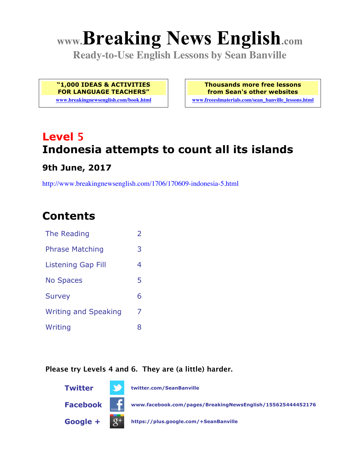# **www.Breaking News English.com**

**Ready-to-Use English Lessons by Sean Banville**

**"1,000 IDEAS & ACTIVITIES FOR LANGUAGE TEACHERS"**

**www.breakingnewsenglish.com/book.html**

**Thousands more free lessons from Sean's other websites www.freeeslmaterials.com/sean\_banville\_lessons.html**

# **Level 5 Indonesia attempts to count all its islands 9th June, 2017**

http://www.breakingnewsenglish.com/1706/170609-indonesia-5.html

## **Contents**

| <b>The Reading</b>          | $\overline{2}$ |
|-----------------------------|----------------|
| <b>Phrase Matching</b>      | 3              |
| <b>Listening Gap Fill</b>   | 4              |
| <b>No Spaces</b>            | 5              |
| <b>Survey</b>               | 6              |
| <b>Writing and Speaking</b> | 7              |
| Writing                     | 8              |
|                             |                |

#### **Please try Levels 4 and 6. They are (a little) harder.**

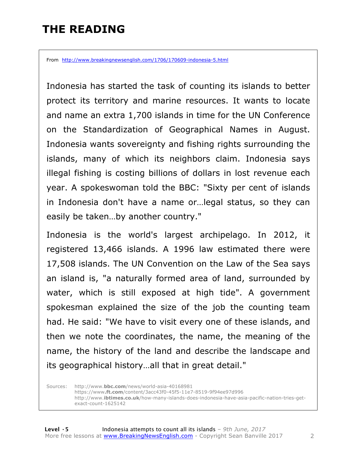# **THE READING**

From http://www.breakingnewsenglish.com/1706/170609-indonesia-5.html

Indonesia has started the task of counting its islands to better protect its territory and marine resources. It wants to locate and name an extra 1,700 islands in time for the UN Conference on the Standardization of Geographical Names in August. Indonesia wants sovereignty and fishing rights surrounding the islands, many of which its neighbors claim. Indonesia says illegal fishing is costing billions of dollars in lost revenue each year. A spokeswoman told the BBC: "Sixty per cent of islands in Indonesia don't have a name or…legal status, so they can easily be taken…by another country."

Indonesia is the world's largest archipelago. In 2012, it registered 13,466 islands. A 1996 law estimated there were 17,508 islands. The UN Convention on the Law of the Sea says an island is, "a naturally formed area of land, surrounded by water, which is still exposed at high tide". A government spokesman explained the size of the job the counting team had. He said: "We have to visit every one of these islands, and then we note the coordinates, the name, the meaning of the name, the history of the land and describe the landscape and its geographical history…all that in great detail."

Sources: http://www.**bbc.com**/news/world-asia-40168981 https://www**.ft.com**/content/3acc43f0-45f5-11e7-8519-9f94ee97d996 http://www.**ibtimes.co.uk**/how-many-islands-does-indonesia-have-asia-pacific-nation-tries-getexact-count-1625142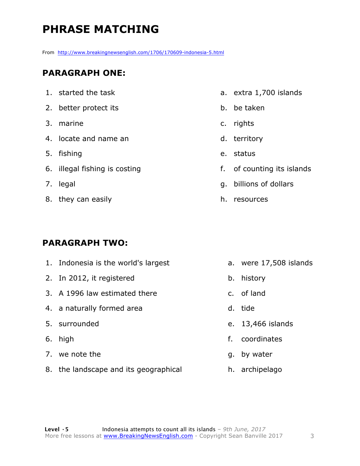# **PHRASE MATCHING**

From http://www.breakingnewsenglish.com/1706/170609-indonesia-5.html

#### **PARAGRAPH ONE:**

1. started the task 2. better protect its 3. marine 4. locate and name an 5. fishing 6. illegal fishing is costing 7. legal 8. they can easily

1. Indonesia is the world's largest

3. A 1996 law estimated there

**PARAGRAPH TWO:**

2. In 2012, it registered

4. a naturally formed area

5. surrounded

7. we note the

6. high

- a. extra 1,700 islands
- b. be taken
- c. rights
- d. territory
- e. status
- f. of counting its islands
- g. billions of dollars
- h. resources

- a. were 17,508 islands
- b. history
- c. of land
- d. tide
- e. 13,466 islands
- f. coordinates
- g. by water
- h. archipelago
- 8. the landscape and its geographical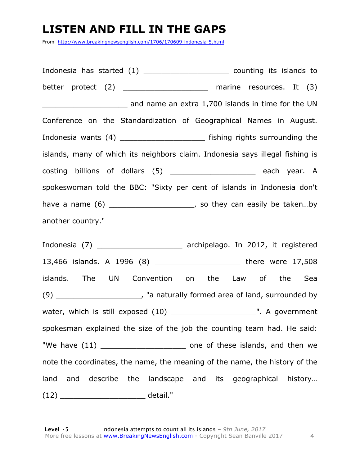#### **LISTEN AND FILL IN THE GAPS**

From http://www.breakingnewsenglish.com/1706/170609-indonesia-5.html

Indonesia has started (1) and the counting its islands to better protect (2) \_\_\_\_\_\_\_\_\_\_\_\_\_\_\_\_\_\_\_\_ marine resources. It (3) and name an extra 1,700 islands in time for the UN Conference on the Standardization of Geographical Names in August. Indonesia wants (4) \_\_\_\_\_\_\_\_\_\_\_\_\_\_\_\_\_\_\_ fishing rights surrounding the islands, many of which its neighbors claim. Indonesia says illegal fishing is costing billions of dollars (5) \_\_\_\_\_\_\_\_\_\_\_\_\_\_\_\_\_\_\_ each year. A spokeswoman told the BBC: "Sixty per cent of islands in Indonesia don't have a name  $(6)$  \_\_\_\_\_\_\_\_\_\_\_\_\_\_\_\_\_\_\_\_\_\_, so they can easily be taken...by another country."

Indonesia (7) \_\_\_\_\_\_\_\_\_\_\_\_\_\_\_\_\_\_\_ archipelago. In 2012, it registered 13,466 islands. A 1996 (8) \_\_\_\_\_\_\_\_\_\_\_\_\_\_\_\_\_\_\_ there were 17,508 islands. The UN Convention on the Law of the Sea (9) \_\_\_\_\_\_\_\_\_\_\_\_\_\_\_\_\_\_\_, "a naturally formed area of land, surrounded by water, which is still exposed (10) \_\_\_\_\_\_\_\_\_\_\_\_\_\_\_\_\_\_\_". A government spokesman explained the size of the job the counting team had. He said: "We have (11) \_\_\_\_\_\_\_\_\_\_\_\_\_\_\_\_\_\_\_\_\_\_\_\_\_ one of these islands, and then we note the coordinates, the name, the meaning of the name, the history of the land and describe the landscape and its geographical history… (12) \_\_\_\_\_\_\_\_\_\_\_\_\_\_\_\_\_\_\_ detail."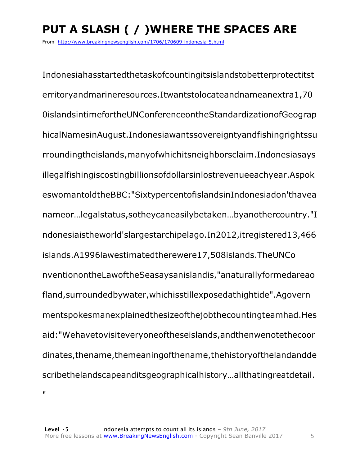# **PUT A SLASH ( / )WHERE THE SPACES ARE**

From http://www.breakingnewsenglish.com/1706/170609-indonesia-5.html

Indonesiahasstartedthetaskofcountingitsislandstobetterprotectitst erritoryandmarineresources.Itwantstolocateandnameanextra1,70 0islandsintimefortheUNConferenceontheStandardizationofGeograp hicalNamesinAugust.Indonesiawantssovereigntyandfishingrightssu rroundingtheislands,manyofwhichitsneighborsclaim.Indonesiasays illegalfishingiscostingbillionsofdollarsinlostrevenueeachyear.Aspok eswomantoldtheBBC:"SixtypercentofislandsinIndonesiadon'thavea nameor…legalstatus,sotheycaneasilybetaken…byanothercountry."I ndonesiaistheworld'slargestarchipelago.In2012,itregistered13,466 islands.A1996lawestimatedtherewere17,508islands.TheUNCo nventionontheLawoftheSeasaysanislandis,"anaturallyformedareao fland,surroundedbywater,whichisstillexposedathightide".Agovern mentspokesmanexplainedthesizeofthejobthecountingteamhad.Hes aid:"Wehavetovisiteveryoneoftheseislands,andthenwenotethecoor dinates,thename,themeaningofthename,thehistoryofthelandandde scribethelandscapeanditsgeographicalhistory…allthatingreatdetail.  $\blacksquare$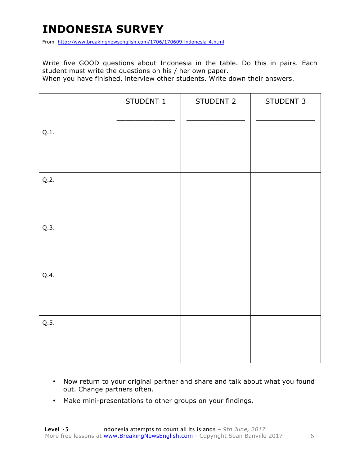# **INDONESIA SURVEY**

From http://www.breakingnewsenglish.com/1706/170609-indonesia-4.html

Write five GOOD questions about Indonesia in the table. Do this in pairs. Each student must write the questions on his / her own paper.

When you have finished, interview other students. Write down their answers.

|      | STUDENT 1 | STUDENT 2 | STUDENT 3 |
|------|-----------|-----------|-----------|
| Q.1. |           |           |           |
| Q.2. |           |           |           |
| Q.3. |           |           |           |
| Q.4. |           |           |           |
| Q.5. |           |           |           |

- Now return to your original partner and share and talk about what you found out. Change partners often.
- Make mini-presentations to other groups on your findings.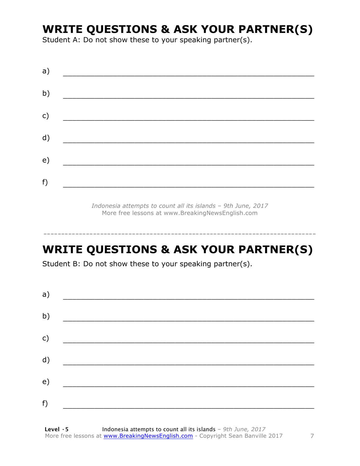## **WRITE QUESTIONS & ASK YOUR PARTNER(S)**

Student A: Do not show these to your speaking partner(s).

*Indonesia attempts to count all its islands – 9th June, 2017* More free lessons at www.BreakingNewsEnglish.com

# **WRITE QUESTIONS & ASK YOUR PARTNER(S)**

-----------------------------------------------------------------------------

Student B: Do not show these to your speaking partner(s).

| a) |  |  |
|----|--|--|
| b) |  |  |
| c) |  |  |
| d) |  |  |
| e) |  |  |
| f) |  |  |
|    |  |  |